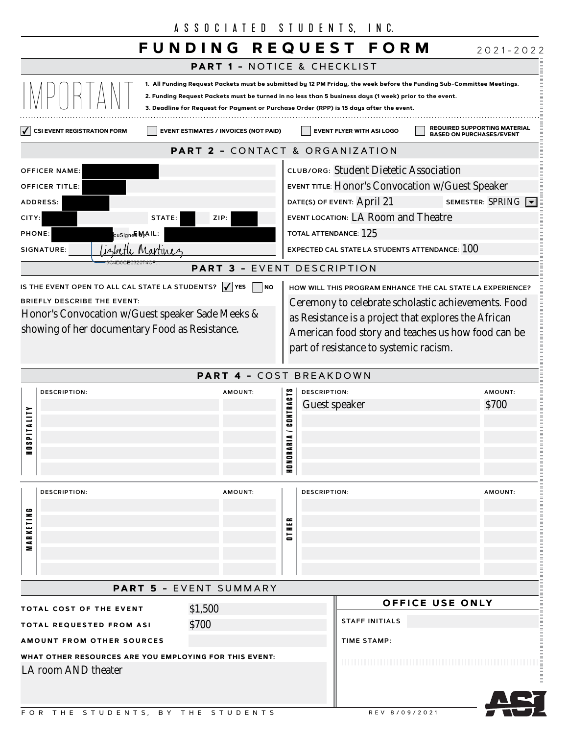|                                                                                                                                                                                                                          | ASSOCIATED STUDENTS, INC.                                                               |                  |                                                                                                                                                                                                                                                                           |                                                                                                                                                                                                                                 |                                                                 |  |
|--------------------------------------------------------------------------------------------------------------------------------------------------------------------------------------------------------------------------|-----------------------------------------------------------------------------------------|------------------|---------------------------------------------------------------------------------------------------------------------------------------------------------------------------------------------------------------------------------------------------------------------------|---------------------------------------------------------------------------------------------------------------------------------------------------------------------------------------------------------------------------------|-----------------------------------------------------------------|--|
|                                                                                                                                                                                                                          | FUNDING REQUEST FORM                                                                    |                  |                                                                                                                                                                                                                                                                           |                                                                                                                                                                                                                                 | $2021 - 2022$                                                   |  |
|                                                                                                                                                                                                                          | <b>PART 1 - NOTICE &amp; CHECKLIST</b>                                                  |                  |                                                                                                                                                                                                                                                                           |                                                                                                                                                                                                                                 |                                                                 |  |
|                                                                                                                                                                                                                          | 3. Deadline for Request for Payment or Purchase Order (RPP) is 15 days after the event. |                  |                                                                                                                                                                                                                                                                           | 1. All Funding Request Packets must be submitted by 12 PM Friday, the week before the Funding Sub-Committee Meetings.<br>2. Funding Request Packets must be turned in no less than 5 business days (1 week) prior to the event. |                                                                 |  |
| <b>CSI EVENT REGISTRATION FORM</b>                                                                                                                                                                                       | <b>EVENT ESTIMATES / INVOICES (NOT PAID)</b>                                            |                  |                                                                                                                                                                                                                                                                           | <b>EVENT FLYER WITH ASI LOGO</b>                                                                                                                                                                                                | REQUIRED SUPPORTING MATERIAL<br><b>BASED ON PURCHASES/EVENT</b> |  |
|                                                                                                                                                                                                                          | PART 2 - CONTACT & ORGANIZATION                                                         |                  |                                                                                                                                                                                                                                                                           |                                                                                                                                                                                                                                 |                                                                 |  |
| <b>OFFICER NAME:</b>                                                                                                                                                                                                     |                                                                                         |                  | CLUB/ORG: Student Dietetic Association                                                                                                                                                                                                                                    |                                                                                                                                                                                                                                 |                                                                 |  |
| OFFICER TITLE:                                                                                                                                                                                                           |                                                                                         |                  | <b>EVENT TITLE: Honor's Convocation w/Guest Speaker</b>                                                                                                                                                                                                                   |                                                                                                                                                                                                                                 |                                                                 |  |
| <b>ADDRESS:</b>                                                                                                                                                                                                          |                                                                                         |                  | DATE(S) OF EVENT: April 21<br>SEMESTER: SPRING                                                                                                                                                                                                                            |                                                                                                                                                                                                                                 |                                                                 |  |
| STATE:<br>ZIP:<br>CITY:                                                                                                                                                                                                  |                                                                                         |                  | <b>EVENT LOCATION: LA Room and Theatre</b>                                                                                                                                                                                                                                |                                                                                                                                                                                                                                 |                                                                 |  |
| <b>PHONE:</b><br>cuSigne <b>lā M</b> yAlL:                                                                                                                                                                               |                                                                                         |                  | TOTAL ATTENDANCE: $125$                                                                                                                                                                                                                                                   |                                                                                                                                                                                                                                 |                                                                 |  |
| SIGNATURE:                                                                                                                                                                                                               |                                                                                         |                  |                                                                                                                                                                                                                                                                           | EXPECTED CAL STATE LA STUDENTS ATTENDANCE: $100$                                                                                                                                                                                |                                                                 |  |
|                                                                                                                                                                                                                          | <b>PART 3</b>                                                                           |                  |                                                                                                                                                                                                                                                                           | EVENT DESCRIPTION                                                                                                                                                                                                               |                                                                 |  |
| IS THE EVENT OPEN TO ALL CAL STATE LA STUDENTS? $\sqrt{\ }$ YES<br><b>NO</b><br><b>BRIEFLY DESCRIBE THE EVENT:</b><br>Honor's Convocation w/Guest speaker Sade Meeks &<br>showing of her documentary Food as Resistance. |                                                                                         |                  | HOW WILL THIS PROGRAM ENHANCE THE CAL STATE LA EXPERIENCE?<br>Ceremony to celebrate scholastic achievements. Food<br>as Resistance is a project that explores the African<br>American food story and teaches us how food can be<br>part of resistance to systemic racism. |                                                                                                                                                                                                                                 |                                                                 |  |
|                                                                                                                                                                                                                          | <b>PART 4 - COST BREAKDOWN</b>                                                          |                  |                                                                                                                                                                                                                                                                           |                                                                                                                                                                                                                                 |                                                                 |  |
| <b>DESCRIPTION:</b><br>AMOUNT:                                                                                                                                                                                           |                                                                                         |                  | <b>DESCRIPTION:</b>                                                                                                                                                                                                                                                       |                                                                                                                                                                                                                                 | AMOUNT:                                                         |  |
|                                                                                                                                                                                                                          |                                                                                         | <b>CONTRACTS</b> | <b>Guest speaker</b>                                                                                                                                                                                                                                                      |                                                                                                                                                                                                                                 | <b>\$700</b>                                                    |  |
| Ξ<br>⋍                                                                                                                                                                                                                   |                                                                                         |                  |                                                                                                                                                                                                                                                                           |                                                                                                                                                                                                                                 |                                                                 |  |
| s<br>0                                                                                                                                                                                                                   |                                                                                         |                  |                                                                                                                                                                                                                                                                           |                                                                                                                                                                                                                                 |                                                                 |  |
| ᆂ                                                                                                                                                                                                                        |                                                                                         | HONORARI         |                                                                                                                                                                                                                                                                           |                                                                                                                                                                                                                                 |                                                                 |  |
|                                                                                                                                                                                                                          |                                                                                         |                  |                                                                                                                                                                                                                                                                           |                                                                                                                                                                                                                                 |                                                                 |  |
| <b>DESCRIPTION:</b><br>œ                                                                                                                                                                                                 | AMOUNT:                                                                                 |                  | <b>DESCRIPTION:</b>                                                                                                                                                                                                                                                       |                                                                                                                                                                                                                                 | AMOUNT:                                                         |  |
| E<br>I<br>I<br>I                                                                                                                                                                                                         |                                                                                         | ≈<br>$\equiv$    |                                                                                                                                                                                                                                                                           |                                                                                                                                                                                                                                 |                                                                 |  |
| ×<br>$\approx$<br>$\epsilon$                                                                                                                                                                                             |                                                                                         | $\blacksquare$   |                                                                                                                                                                                                                                                                           |                                                                                                                                                                                                                                 |                                                                 |  |
| ≥                                                                                                                                                                                                                        |                                                                                         |                  |                                                                                                                                                                                                                                                                           |                                                                                                                                                                                                                                 |                                                                 |  |
|                                                                                                                                                                                                                          |                                                                                         |                  |                                                                                                                                                                                                                                                                           |                                                                                                                                                                                                                                 |                                                                 |  |
|                                                                                                                                                                                                                          | <b>PART 5 - EVENT SUMMARY</b>                                                           |                  |                                                                                                                                                                                                                                                                           |                                                                                                                                                                                                                                 |                                                                 |  |
| TOTAL COST OF THE EVENT                                                                                                                                                                                                  | \$1,500                                                                                 |                  |                                                                                                                                                                                                                                                                           | OFFICE USE ONLY                                                                                                                                                                                                                 |                                                                 |  |
| TOTAL REQUESTED FROM ASI                                                                                                                                                                                                 | \$700                                                                                   |                  |                                                                                                                                                                                                                                                                           | <b>STAFF INITIALS</b>                                                                                                                                                                                                           |                                                                 |  |
| <b>AMOUNT FROM OTHER SOURCES</b>                                                                                                                                                                                         |                                                                                         |                  |                                                                                                                                                                                                                                                                           | <b>TIME STAMP:</b>                                                                                                                                                                                                              |                                                                 |  |
| WHAT OTHER RESOURCES ARE YOU EMPLOYING FOR THIS EVENT:                                                                                                                                                                   |                                                                                         |                  |                                                                                                                                                                                                                                                                           | <u> 1989 - Andrew Maria Maria Maria Maria Maria Maria Maria Maria Maria Maria Maria Maria Maria Maria Maria Mari</u>                                                                                                            |                                                                 |  |
| LA room AND theater                                                                                                                                                                                                      |                                                                                         |                  |                                                                                                                                                                                                                                                                           |                                                                                                                                                                                                                                 |                                                                 |  |
| THE STUDENTS, BY THE STUDENTS<br>F O R                                                                                                                                                                                   |                                                                                         |                  |                                                                                                                                                                                                                                                                           | REV 8/09/2021                                                                                                                                                                                                                   |                                                                 |  |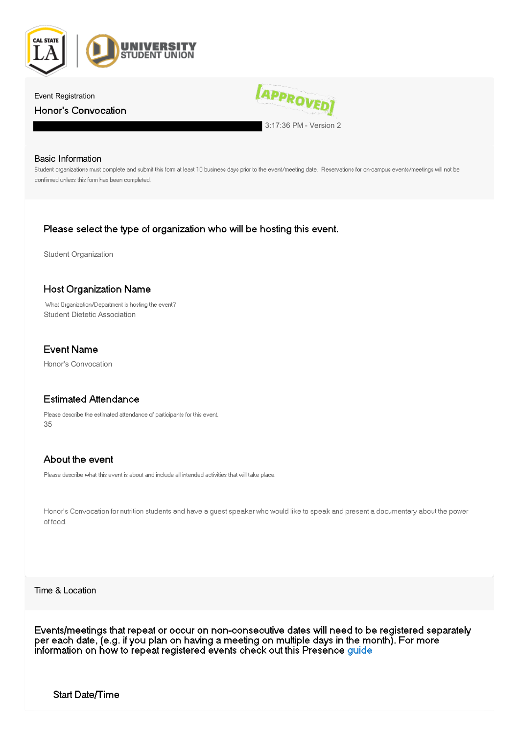

### Event Registration Honor's Convocation



Basic Information<br>Student organizations must complete and submit this form at least 10 business days prior to the event/meeting date. Reservations for on-campus events/meetings will not be confirmed unless this form has been completed.

### Please select the type of organization who will be hosting this event.

Student Organization

#### Host Organization Name

What Organization/Department is hosting the event? Student Dietetic Association

#### **Event Name**

Honor's Convocation

#### **Estimated Attendance**

Please describe the estimated attendance of participants for this event. 35

#### About the event

Please describe what this event is about and include all intended activities that will take place.

Honor's Convocation for nutrition students and have a quest speaker who would like to speak and present a documentary about the power of food.

Time & Location

Events/meetings that repeat or occur on non-consecutive dates will need to be registered separately per each date, (e.g. if you plan on having a meeting on multiple days in the month). For more information on how to repeat registered events check out this Presence guide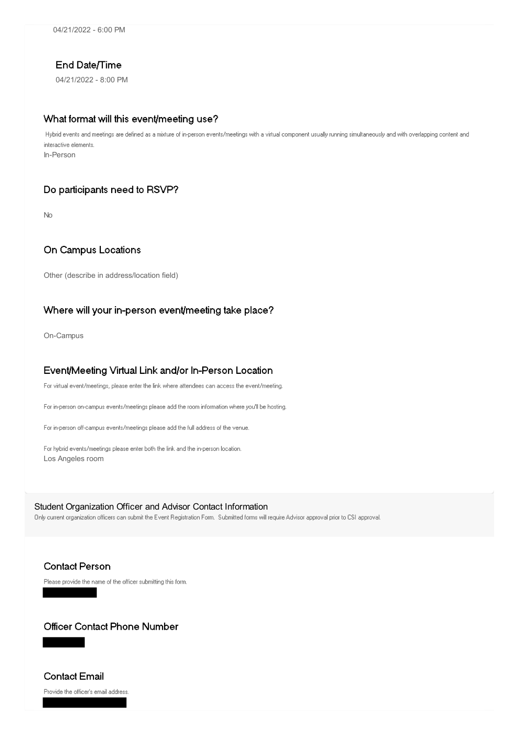### End Date/Time

04/21/2022 - 8:00 PM

#### What format will this event/meeting use?

Hybrid events and meetings are defined as a mixture of in-person events/meetings with a virtual component usually running simultaneously and with overlapping content and interactive elements. In-Person

#### Do participants need to RSVP?

No

#### On Campus Locations

Other (describe in address/location field)

#### Where will your in-person event/meeting take place?

On-Campus

#### Event/Meeting Virtual Link and/or In-Person Location

For virtual event/meetings, please enter the link where attendees can access the event/meeting.

For in-person on-campus events/meetings please add the room information where you'll be hosting.

For in-person off-campus events/meetings please add the full address of the venue.

For hybrid events/meetings please enter both the link and the in-person location. Los Angeles room

Student Organization Officer and Advisor Contact InformationOnly current organization officers can submit the Event Registration Form. Submitted forms will require Advisor approval prior to CSI approval.

#### **Contact Person**

Please provide the name of the officer submitting this form.

#### Officer Contact Phone Number

**Contact Email** Provide the officer's email address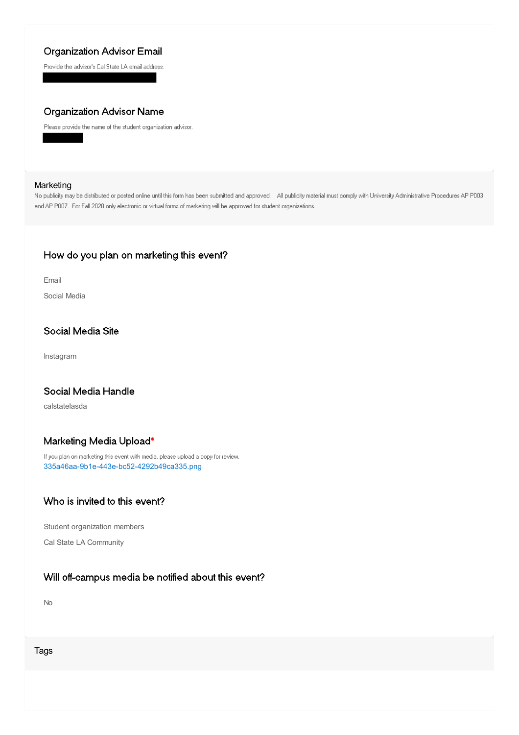### Organization Advisor Email

Provide the advisor's Cal State LA email address.

#### **Organization Advisor Name**

Please provide the name of the student organization advisor.

Marketing<br>No publicity may be distributed or posted online until this form has been submitted and approved. All publicity material must comply with University Administrative Procedures AP P003 and AP P007. For Fall 2020 only electronic or virtual forms of marketing will be approved for student organizations.

#### How do you plan on marketing this event?

Email

Social Media

#### Social Media Site

Instagram

#### Social Media Handle

calstatelasda

#### Marketing Media Upload\*

If you plan on marketing this event with media, please upload a copy for review. [335a46aa-9b1e-443e-bc52-4292b49ca335.png](https://calstatela.presence.io/media/field/335a46aa-9b1e-443e-bc52-4292b49ca335.png)

#### Who is invited to this event?

Student organization members

Cal State LA Community

#### Will off-campus media be notified about this event?

No

Tags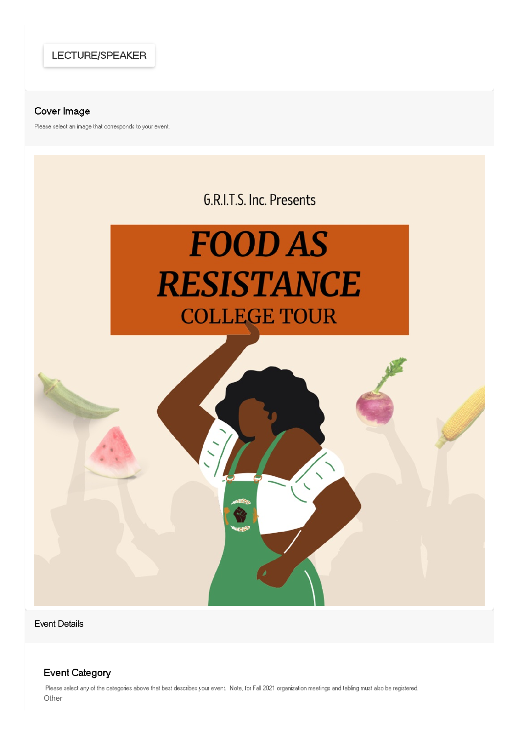LECTURE/SPEAKER

#### Cover Image

Please select an image that corresponds to your event.

## G.R.I.T.S. Inc. Presents

# **FOOD AS RESISTANCE COLLEGE TOUR**

Event Details

#### **Event Category**

Please select any of the categories above that best describes your event. Note, for Fall 2021 organization meetings and tabling must also be registered. **Other**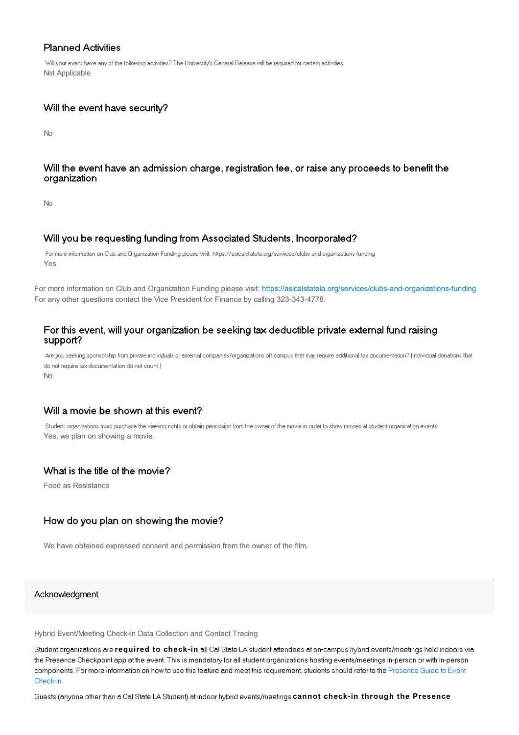#### **Planned Activities**

Will your event have any of the following activities? The University's General Release will be required for certain activities. Not Applicable

#### Will the event have security?

No

#### Will the event have an admission charge, registration fee, or raise any proceeds to benefit the organization

No

#### Will you be requesting funding from Associated Students, Incorporated?

For more information on Club and Organization Funding please visit: https://asicalstatela.org/services/clubs-and-organizations-funding Yes

For more information on Club and Organization Funding please visit: <https://asicalstatela.org/services/clubs-and-organizations-funding>. For any other questions contact the Vice President for Finance by calling 323-343-4778.

#### For this event, will your organization be seeking tax deductible private external fund raising support?

Are you seeking sponsorship from private individuals or external companies/organizations off campus that may require additional tax documentation? (Individual donations that do not require tax documentation do not count.) No

#### Will a movie be shown at this event?

Student organizations must purchase the viewing rights or obtain permission from the owner of the movie in order to show movies at student organization events. Yes, we plan on showing a movie.

#### What is the title of the movie?

Food as Resistance

#### How do you plan on showing the movie?

We have obtained expressed consent and permission from the owner of the film.

#### Acknowledgment

Hybrid Event/Meeting Check-in Data Collection and Contact Tracing

Student organizations are *required* to check-in all Cal State LA student attendees at on-campus hybrid events/meetings held indoors via the Presence Checkpoint app at the event. This is mandatory for all student organizations hosting events/meetings in-person or with in-person components. For more information on how to use this feature and meet this requirement, students should refer to the Presence Guide to Event Check-in

Guests (anyone other than a Cal State LA Student) at indoor hybrid events/meetings cannot check-in through the Presence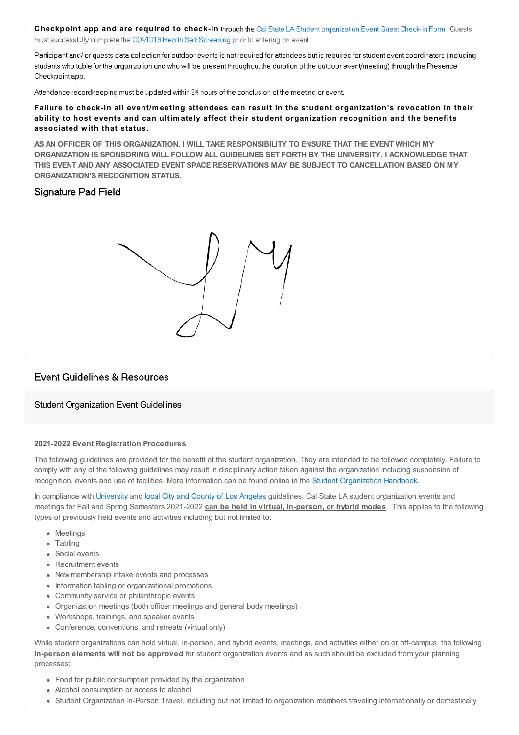**Checkpoint app and are required to check-in** must successfully complete the COVID19 Health Self-Screening prior to entering an event.

Participant and/or quests data collection for outdoor events is not required for attendees but is required for student event coordinators (including students who table for the organization and who will be present throughout the duration of the outdoor event/meeting) through the Presence Checkpoint app.

Attendance recordkeeping must be updated within 24 hours of the conclusion of the meeting or event.

#### **Failure to check-in all event/meeting attendees can result in the student organization's revocation in their ability to host events and can ultimately affect their student organization recognition and the benefits associated with that status.**

**AS AN OFFICER OF THIS ORGANIZATION, I WILL TAKE RESPONSIBILITY TO ENSURE THAT THE EVENT WHICH MY ORGANIZATION IS SPONSORING WILL FOLLOW ALL GUIDELINES SET FORTH BY THE UNIVERSITY. I ACKNOWLEDGE THAT THIS EVENT AND ANY ASSOCIATED EVENT SPACE RESERVATIONS MAY BE SUBJECT TO CANCELLATION BASED ON MY ORGANIZATION'S RECOGNITION STATUS.**

#### Signature Pad Field



#### **Event Guidelines & Resources**

Student Organization Event Guidellines

#### **2021-2022 Event Registration Procedures**

The following guidelines are provided for the benefit of the student organization. They are intended to be followed completely. Failure to comply with any of the following guidelines may result in disciplinary action taken against the organization including suspension of recognition, events and use of facilities. More information can be found online in the Student [Organization](http://www.calstatela.edu/studentservices/student-organization-handbook) Handbook.

In compliance with [University](http://www.calstatela.edu/healthwatch) and local City and County of Los [Angeles](http://publichealth.lacounty.gov/media/Coronavirus/docs/HOO/HOO_COVID-19_Safer_at_Work_and_in_the_Community-Phase 3_06182020_WITH_APPENDICES.pdf) guidelines, Cal State LA student organization events and meetings for Fall and Spring Semesters 2021-2022 **can be held in virtual, in-person, or hybrid modes**. This applies to the following types of previously held events and activities including but not limited to:

- Meetings
- Tabling
- Social events
- **•** Recruitment events
- New membership intake events and processes
- Information tabling or organizational promotions
- Community service or philanthropic events
- Organization meetings (both officer meetings and general body meetings)
- Workshops, trainings, and speaker events
- Conference, conventions, and retreats (virtual only)

While student organizations can hold virtual, in-person, and hybrid events, meetings, and activities either on or off-campus, the following **in-person elements will not be approved** for student organization events and as such should be excluded from your planning processes:

- Food for public consumption provided by the organization
- Alcohol consumption or access to alcohol
- Student Organization In-Person Travel, including but not limited to organization members traveling internationally or domestically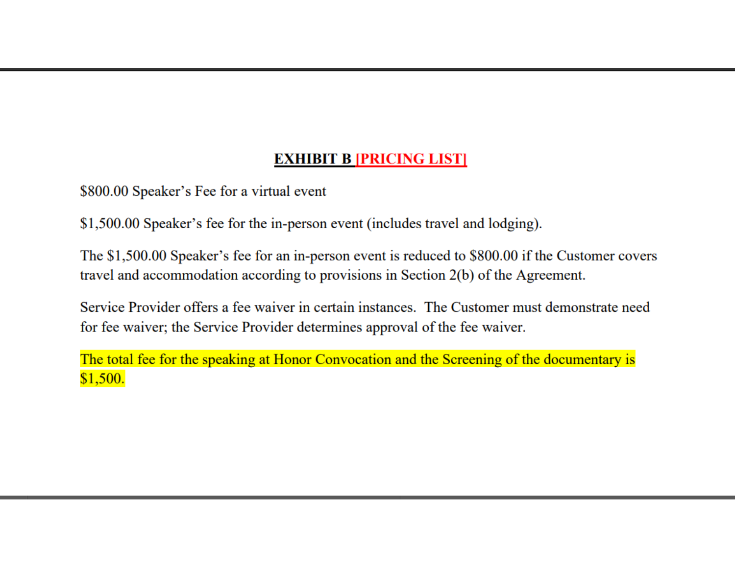### **EXHIBIT B PRICING LIST**

\$800.00 Speaker's Fee for a virtual event

\$1,500.00 Speaker's fee for the in-person event (includes travel and lodging).

The \$1,500.00 Speaker's fee for an in-person event is reduced to \$800.00 if the Customer covers travel and accommodation according to provisions in Section 2(b) of the Agreement.

Service Provider offers a fee waiver in certain instances. The Customer must demonstrate need for fee waiver; the Service Provider determines approval of the fee waiver.

The total fee for the speaking at Honor Convocation and the Screening of the documentary is  $$1,500.$